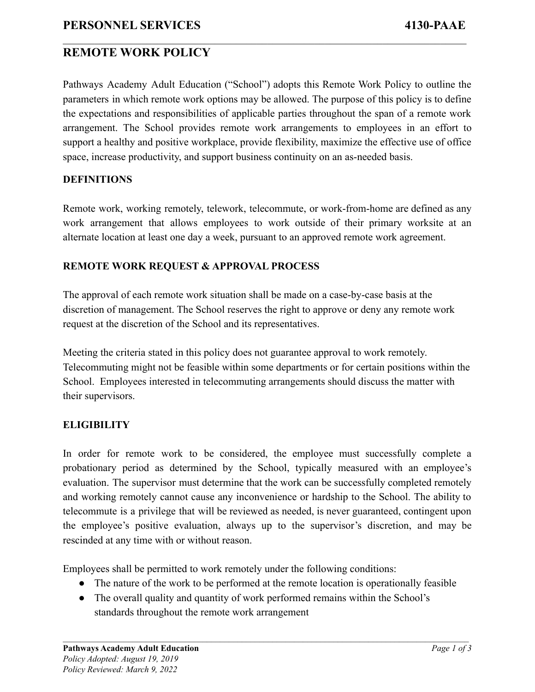## **REMOTE WORK POLICY**

Pathways Academy Adult Education ("School") adopts this Remote Work Policy to outline the parameters in which remote work options may be allowed. The purpose of this policy is to define the expectations and responsibilities of applicable parties throughout the span of a remote work arrangement. The School provides remote work arrangements to employees in an effort to support a healthy and positive workplace, provide flexibility, maximize the effective use of office space, increase productivity, and support business continuity on an as-needed basis.

 $\mathcal{L}_\mathcal{L} = \{ \mathcal{L}_\mathcal{L} = \{ \mathcal{L}_\mathcal{L} = \{ \mathcal{L}_\mathcal{L} = \{ \mathcal{L}_\mathcal{L} = \{ \mathcal{L}_\mathcal{L} = \{ \mathcal{L}_\mathcal{L} = \{ \mathcal{L}_\mathcal{L} = \{ \mathcal{L}_\mathcal{L} = \{ \mathcal{L}_\mathcal{L} = \{ \mathcal{L}_\mathcal{L} = \{ \mathcal{L}_\mathcal{L} = \{ \mathcal{L}_\mathcal{L} = \{ \mathcal{L}_\mathcal{L} = \{ \mathcal{L}_\mathcal{$ 

#### **DEFINITIONS**

Remote work, working remotely, telework, telecommute, or work-from-home are defined as any work arrangement that allows employees to work outside of their primary worksite at an alternate location at least one day a week, pursuant to an approved remote work agreement.

### **REMOTE WORK REQUEST & APPROVAL PROCESS**

The approval of each remote work situation shall be made on a case-by-case basis at the discretion of management. The School reserves the right to approve or deny any remote work request at the discretion of the School and its representatives.

Meeting the criteria stated in this policy does not guarantee approval to work remotely. Telecommuting might not be feasible within some departments or for certain positions within the School. Employees interested in telecommuting arrangements should discuss the matter with their supervisors.

### **ELIGIBILITY**

In order for remote work to be considered, the employee must successfully complete a probationary period as determined by the School, typically measured with an employee's evaluation. The supervisor must determine that the work can be successfully completed remotely and working remotely cannot cause any inconvenience or hardship to the School. The ability to telecommute is a privilege that will be reviewed as needed, is never guaranteed, contingent upon the employee's positive evaluation, always up to the supervisor's discretion, and may be rescinded at any time with or without reason.

Employees shall be permitted to work remotely under the following conditions:

- The nature of the work to be performed at the remote location is operationally feasible
- The overall quality and quantity of work performed remains within the School's standards throughout the remote work arrangement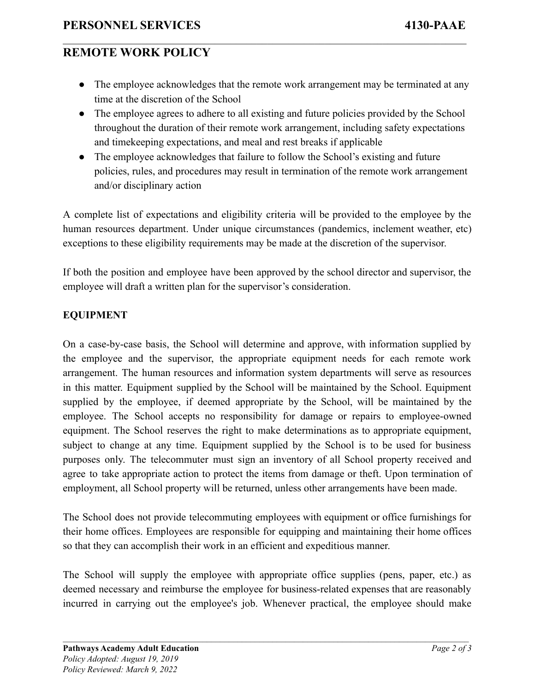# **REMOTE WORK POLICY**

• The employee acknowledges that the remote work arrangement may be terminated at any time at the discretion of the School

 $\mathcal{L}_\mathcal{L} = \{ \mathcal{L}_\mathcal{L} = \{ \mathcal{L}_\mathcal{L} = \{ \mathcal{L}_\mathcal{L} = \{ \mathcal{L}_\mathcal{L} = \{ \mathcal{L}_\mathcal{L} = \{ \mathcal{L}_\mathcal{L} = \{ \mathcal{L}_\mathcal{L} = \{ \mathcal{L}_\mathcal{L} = \{ \mathcal{L}_\mathcal{L} = \{ \mathcal{L}_\mathcal{L} = \{ \mathcal{L}_\mathcal{L} = \{ \mathcal{L}_\mathcal{L} = \{ \mathcal{L}_\mathcal{L} = \{ \mathcal{L}_\mathcal{$ 

- The employee agrees to adhere to all existing and future policies provided by the School throughout the duration of their remote work arrangement, including safety expectations and timekeeping expectations, and meal and rest breaks if applicable
- The employee acknowledges that failure to follow the School's existing and future policies, rules, and procedures may result in termination of the remote work arrangement and/or disciplinary action

A complete list of expectations and eligibility criteria will be provided to the employee by the human resources department. Under unique circumstances (pandemics, inclement weather, etc) exceptions to these eligibility requirements may be made at the discretion of the supervisor.

If both the position and employee have been approved by the school director and supervisor, the employee will draft a written plan for the supervisor's consideration.

### **EQUIPMENT**

On a case-by-case basis, the School will determine and approve, with information supplied by the employee and the supervisor, the appropriate equipment needs for each remote work arrangement. The human resources and information system departments will serve as resources in this matter. Equipment supplied by the School will be maintained by the School. Equipment supplied by the employee, if deemed appropriate by the School, will be maintained by the employee. The School accepts no responsibility for damage or repairs to employee-owned equipment. The School reserves the right to make determinations as to appropriate equipment, subject to change at any time. Equipment supplied by the School is to be used for business purposes only. The telecommuter must sign an inventory of all School property received and agree to take appropriate action to protect the items from damage or theft. Upon termination of employment, all School property will be returned, unless other arrangements have been made.

The School does not provide telecommuting employees with equipment or office furnishings for their home offices. Employees are responsible for equipping and maintaining their home offices so that they can accomplish their work in an efficient and expeditious manner.

The School will supply the employee with appropriate office supplies (pens, paper, etc.) as deemed necessary and reimburse the employee for business-related expenses that are reasonably incurred in carrying out the employee's job. Whenever practical, the employee should make